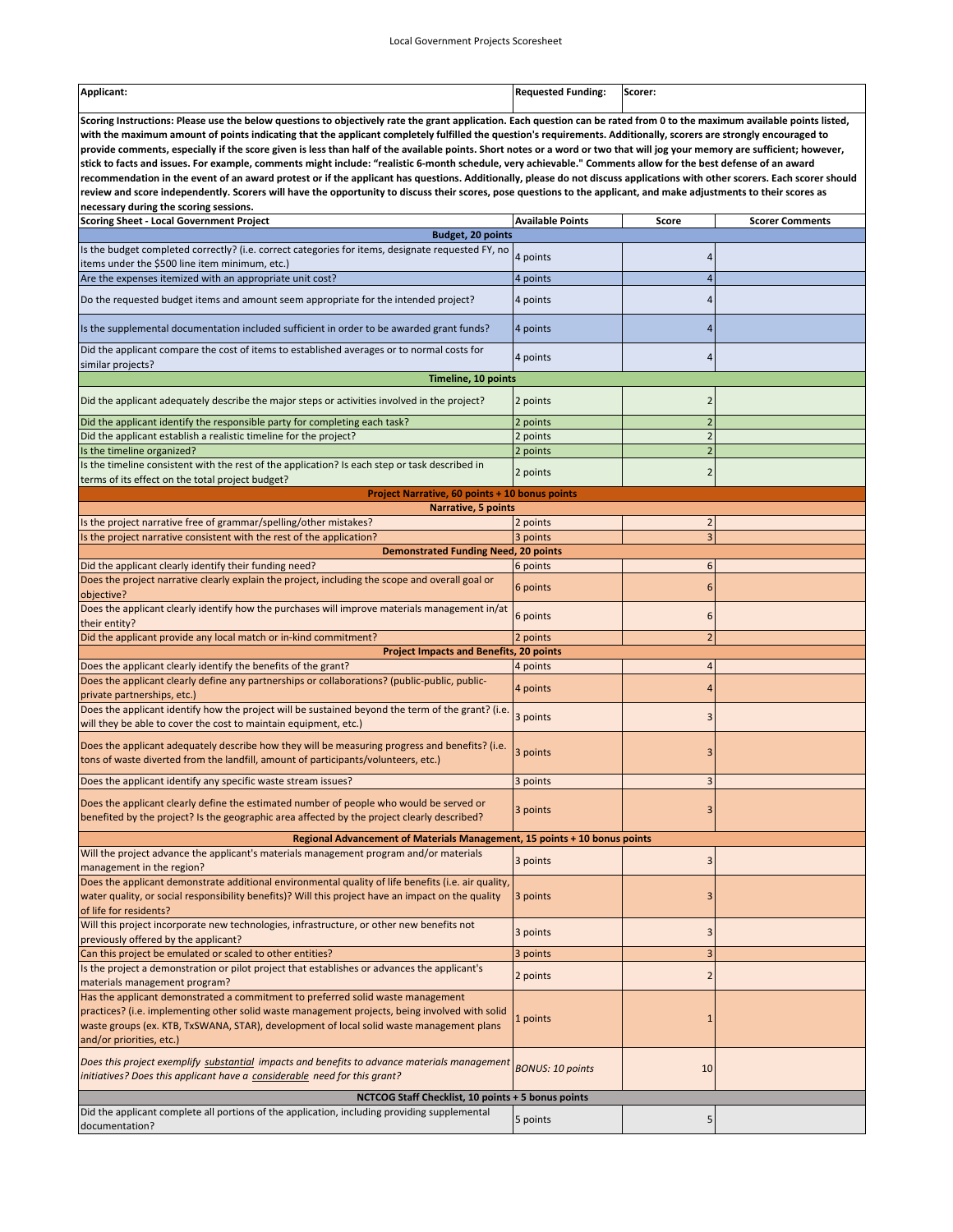| Applicant:<br>------ | .<br>Fundina<br> | Scorer: |
|----------------------|------------------|---------|
|                      |                  |         |

**Scoring Instructions: Please use the below questions to objectively rate the grant application. Each question can be rated from 0 to the maximum available points listed, with the maximum amount of points indicating that the applicant completely fulfilled the question's requirements. Additionally, scorers are strongly encouraged to provide comments, especially if the score given is less than half of the available points. Short notes or a word or two that will jog your memory are sufficient; however, stick to facts and issues. For example, comments might include: "realistic 6‐month schedule, very achievable." Comments allow for the best defense of an award recommendation in the event of an award protest or if the applicant has questions. Additionally, please do not discuss applications with other scorers. Each scorer should review and score independently. Scorers will have the opportunity to discuss their scores, pose questions to the applicant, and make adjustments to their scores as necessary during the scoring sessions.** 

| <b>Scoring Sheet - Local Government Project</b>                                                                                                                                        | <b>Available Points</b> | Score                   | <b>Scorer Comments</b> |  |  |  |
|----------------------------------------------------------------------------------------------------------------------------------------------------------------------------------------|-------------------------|-------------------------|------------------------|--|--|--|
| <b>Budget, 20 points</b>                                                                                                                                                               |                         |                         |                        |  |  |  |
| Is the budget completed correctly? (i.e. correct categories for items, designate requested FY, no<br>items under the \$500 line item minimum, etc.)                                    | 4 points                | 4                       |                        |  |  |  |
| Are the expenses itemized with an appropriate unit cost?                                                                                                                               | 4 points                | $\overline{4}$          |                        |  |  |  |
| Do the requested budget items and amount seem appropriate for the intended project?                                                                                                    | 4 points                | 4                       |                        |  |  |  |
| Is the supplemental documentation included sufficient in order to be awarded grant funds?                                                                                              | 4 points                | 4                       |                        |  |  |  |
| Did the applicant compare the cost of items to established averages or to normal costs for<br>similar projects?                                                                        | 4 points                | 4                       |                        |  |  |  |
| Timeline, 10 points                                                                                                                                                                    |                         |                         |                        |  |  |  |
| Did the applicant adequately describe the major steps or activities involved in the project?                                                                                           | 2 points                | $\overline{2}$          |                        |  |  |  |
| Did the applicant identify the responsible party for completing each task?                                                                                                             | 2 points                | $\overline{c}$          |                        |  |  |  |
| Did the applicant establish a realistic timeline for the project?                                                                                                                      | 2 points                | $\overline{2}$          |                        |  |  |  |
| Is the timeline organized?                                                                                                                                                             | 2 points                | $\overline{c}$          |                        |  |  |  |
| Is the timeline consistent with the rest of the application? Is each step or task described in<br>terms of its effect on the total project budget?                                     | 2 points                | $\overline{2}$          |                        |  |  |  |
| <b>Project Narrative, 60 points + 10 bonus points</b>                                                                                                                                  |                         |                         |                        |  |  |  |
| Narrative, 5 points                                                                                                                                                                    |                         |                         |                        |  |  |  |
| Is the project narrative free of grammar/spelling/other mistakes?                                                                                                                      | 2 points                | $\overline{2}$          |                        |  |  |  |
| Is the project narrative consistent with the rest of the application?                                                                                                                  | 3 points                | 3                       |                        |  |  |  |
| <b>Demonstrated Funding Need, 20 points</b>                                                                                                                                            |                         |                         |                        |  |  |  |
| Did the applicant clearly identify their funding need?                                                                                                                                 | 6 points                | 6                       |                        |  |  |  |
| Does the project narrative clearly explain the project, including the scope and overall goal or<br>objective?                                                                          | 6 points                | 6                       |                        |  |  |  |
| Does the applicant clearly identify how the purchases will improve materials management in/at<br>their entity?                                                                         | 6 points                | 6                       |                        |  |  |  |
| Did the applicant provide any local match or in-kind commitment?                                                                                                                       | 2 points                | $\overline{2}$          |                        |  |  |  |
| <b>Project Impacts and Benefits, 20 points</b>                                                                                                                                         |                         |                         |                        |  |  |  |
| Does the applicant clearly identify the benefits of the grant?                                                                                                                         | 4 points                | 4                       |                        |  |  |  |
| Does the applicant clearly define any partnerships or collaborations? (public-public, public-<br>private partnerships, etc.)                                                           | 4 points                | 4                       |                        |  |  |  |
| Does the applicant identify how the project will be sustained beyond the term of the grant? (i.e.<br>will they be able to cover the cost to maintain equipment, etc.)                  | 3 points                | 3                       |                        |  |  |  |
| Does the applicant adequately describe how they will be measuring progress and benefits? (i.e.<br>tons of waste diverted from the landfill, amount of participants/volunteers, etc.)   | 3 points                | 3                       |                        |  |  |  |
| Does the applicant identify any specific waste stream issues?                                                                                                                          | 3 points                | 3                       |                        |  |  |  |
| Does the applicant clearly define the estimated number of people who would be served or<br>benefited by the project? Is the geographic area affected by the project clearly described? | 3 points                | 3                       |                        |  |  |  |
| Regional Advancement of Materials Management, 15 points + 10 bonus points                                                                                                              |                         |                         |                        |  |  |  |
| Will the project advance the applicant's materials management program and/or materials<br>management in the region?                                                                    | 3 points                | 3                       |                        |  |  |  |
| Does the applicant demonstrate additional environmental quality of life benefits (i.e. air quality,                                                                                    |                         |                         |                        |  |  |  |
| water quality, or social responsibility benefits)? Will this project have an impact on the quality                                                                                     | 3 points                | 3                       |                        |  |  |  |
| of life for residents?                                                                                                                                                                 |                         |                         |                        |  |  |  |
| Will this project incorporate new technologies, infrastructure, or other new benefits not<br>previously offered by the applicant?                                                      | 3 points                | 3                       |                        |  |  |  |
| Can this project be emulated or scaled to other entities?                                                                                                                              | 3 points                | 3                       |                        |  |  |  |
| Is the project a demonstration or pilot project that establishes or advances the applicant's<br>materials management program?                                                          | 2 points                | $\overline{\mathbf{c}}$ |                        |  |  |  |
| Has the applicant demonstrated a commitment to preferred solid waste management                                                                                                        |                         |                         |                        |  |  |  |
| practices? (i.e. implementing other solid waste management projects, being involved with solid                                                                                         |                         |                         |                        |  |  |  |
| waste groups (ex. KTB, TxSWANA, STAR), development of local solid waste management plans                                                                                               | 1 points                | $\mathbf{1}$            |                        |  |  |  |
| and/or priorities, etc.)                                                                                                                                                               |                         |                         |                        |  |  |  |
| Does this project exemplify substantial impacts and benefits to advance materials management                                                                                           |                         |                         |                        |  |  |  |
| initiatives? Does this applicant have a considerable need for this grant?                                                                                                              | <b>BONUS: 10 points</b> | 10                      |                        |  |  |  |
|                                                                                                                                                                                        |                         |                         |                        |  |  |  |
| NCTCOG Staff Checklist, 10 points + 5 bonus points                                                                                                                                     |                         |                         |                        |  |  |  |
| Did the applicant complete all portions of the application, including providing supplemental<br>documentation?                                                                         | 5 points                | 5                       |                        |  |  |  |
|                                                                                                                                                                                        |                         |                         |                        |  |  |  |